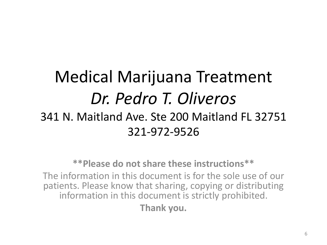#### Medical Marijuana Treatment *Dr. Pedro T. Oliveros* 341 N. Maitland Ave. Ste 200 Maitland FL 32751 321-972-9526

**\*\*Please do not share these instructions\*\***  The information in this document is for the sole use of our patients. Please know that sharing, copying or distributing information in this document is strictly prohibited.

**Thank you.**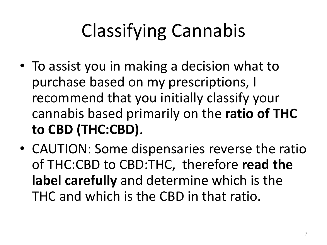# Classifying Cannabis

- To assist you in making a decision what to purchase based on my prescriptions, I recommend that you initially classify your cannabis based primarily on the **ratio of THC to CBD (THC:CBD)**.
- CAUTION: Some dispensaries reverse the ratio of THC:CBD to CBD:THC, therefore **read the label carefully** and determine which is the THC and which is the CBD in that ratio.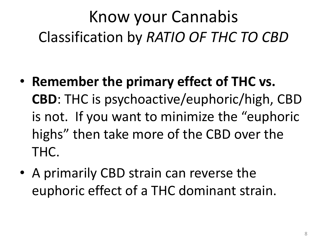#### Know your Cannabis Classification by *RATIO OF THC TO CBD*

- **Remember the primary effect of THC vs. CBD**: THC is psychoactive/euphoric/high, CBD is not. If you want to minimize the "euphoric highs" then take more of the CBD over the THC.
- A primarily CBD strain can reverse the euphoric effect of a THC dominant strain.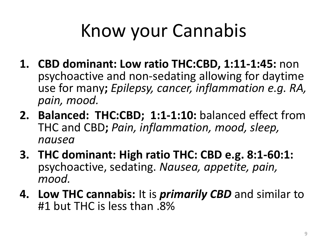## Know your Cannabis

- **1. CBD dominant: Low ratio THC:CBD, 1:11-1:45:** non psychoactive and non-sedating allowing for daytime use for many**;** *Epilepsy, cancer, inflammation e.g. RA, pain, mood.*
- **2. Balanced: THC:CBD; 1:1-1:10:** balanced effect from THC and CBD**;** *Pain, inflammation, mood, sleep, nausea*
- **3. THC dominant: High ratio THC: CBD e.g. 8:1-60:1:**  psychoactive, sedating. *Nausea, appetite, pain, mood.*
- **4. Low THC cannabis:** It is *primarily CBD* and similar to #1 but THC is less than .8%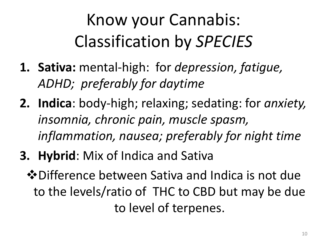### Know your Cannabis: Classification by *SPECIES*

- **1. Sativa:** mental-high: for *depression, fatigue, ADHD; preferably for daytime*
- **2. Indica**: body-high; relaxing; sedating: for *anxiety, insomnia, chronic pain, muscle spasm, inflammation, nausea; preferably for night time*
- **3. Hybrid**: Mix of Indica and Sativa
	- Difference between Sativa and Indica is not due to the levels/ratio of THC to CBD but may be due to level of terpenes.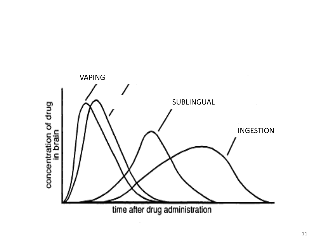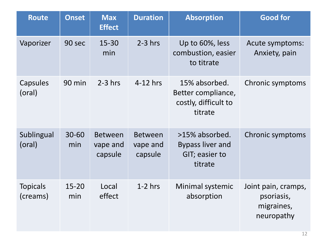| <b>Route</b>                | <b>Onset</b>     | <b>Max</b><br><b>Effect</b>           | <b>Duration</b>                       | <b>Absorption</b>                                                      | <b>Good for</b>                                               |
|-----------------------------|------------------|---------------------------------------|---------------------------------------|------------------------------------------------------------------------|---------------------------------------------------------------|
| Vaporizer                   | 90 sec           | 15-30<br>min                          | $2-3$ hrs                             | Up to 60%, less<br>combustion, easier<br>to titrate                    | Acute symptoms:<br>Anxiety, pain                              |
| Capsules<br>(oral)          | 90 min           | $2-3$ hrs                             | $4-12$ hrs                            | 15% absorbed.<br>Better compliance,<br>costly, difficult to<br>titrate | Chronic symptoms                                              |
| Sublingual<br>(oral)        | $30 - 60$<br>min | <b>Between</b><br>vape and<br>capsule | <b>Between</b><br>vape and<br>capsule | >15% absorbed.<br><b>Bypass liver and</b><br>GIT; easier to<br>titrate | Chronic symptoms                                              |
| <b>Topicals</b><br>(creams) | $15 - 20$<br>min | Local<br>effect                       | $1-2$ hrs                             | Minimal systemic<br>absorption                                         | Joint pain, cramps,<br>psoriasis,<br>migraines,<br>neuropathy |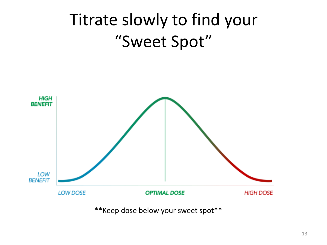

\*\*Keep dose below your sweet spot\*\*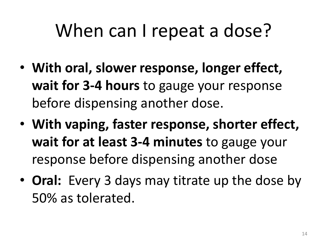### When can I repeat a dose?

- **With oral, slower response, longer effect, wait for 3-4 hours** to gauge your response before dispensing another dose.
- **With vaping, faster response, shorter effect, wait for at least 3-4 minutes** to gauge your response before dispensing another dose
- **Oral:** Every 3 days may titrate up the dose by 50% as tolerated.